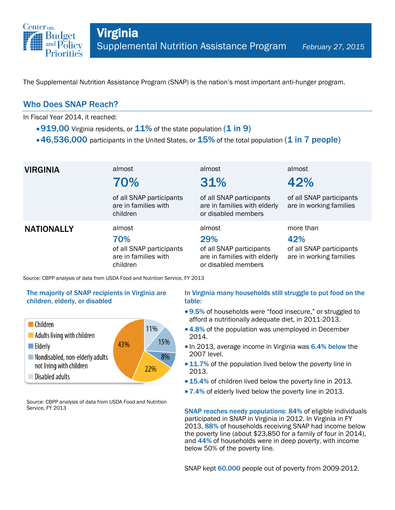

The Supplemental Nutrition Assistance Program (SNAP) is the nation's most important anti-hunger program.

## Who Does SNAP Reach?

In Fiscal Year 2014, it reached:

- $\cdot$  919,00 Virginia residents, or  $11\%$  of the state population (1 in 9)
- $\cdot$  46,536,000 participants in the United States, or  $15\%$  of the total population (1 in 7 people)

| <b>VIRGINIA</b>   | almost<br>70%                                                                 | almost<br>31%                                                                                    | almost<br>42%                                                           |
|-------------------|-------------------------------------------------------------------------------|--------------------------------------------------------------------------------------------------|-------------------------------------------------------------------------|
|                   | of all SNAP participants<br>are in families with<br>children                  | of all SNAP participants<br>are in families with elderly<br>or disabled members                  | of all SNAP participants<br>are in working families                     |
| <b>NATIONALLY</b> | almost<br>70%<br>of all SNAP participants<br>are in families with<br>children | almost<br>29%<br>of all SNAP participants<br>are in families with elderly<br>or disabled members | more than<br>42%<br>of all SNAP participants<br>are in working families |

Source: CBPP analysis of data from USDA Food and Nutrition Service, FY 2013

### The majority of SNAP recipients in Virginia are children, elderly, or disabled



Source: CBPP analysis of data from USDA Food and Nutrition Service, FY 2013

### In Virginia many households still struggle to put food on the table:

- 9.5% of households were "food insecure," or struggled to afford a nutritionally adequate diet, in 2011-2013.
- 4.8% of the population was unemployed in December 2014.
- In 2013, average income in Virginia was 6.4% below the 2007 level.
- 11.7% of the population lived below the poverty line in 2013.
- 15.4% of children lived below the poverty line in 2013.
- 7.4% of elderly lived below the poverty line in 2013.

SNAP reaches needy populations: 84% of eligible individuals participated in SNAP in Virginia in 2012. In Virginia in FY 2013, 88% of households receiving SNAP had income below the poverty line (about \$23,850 for a family of four in 2014), and 44% of households were in deep poverty, with income below 50% of the poverty line.

SNAP kept 60,000 people out of poverty from 2009-2012.